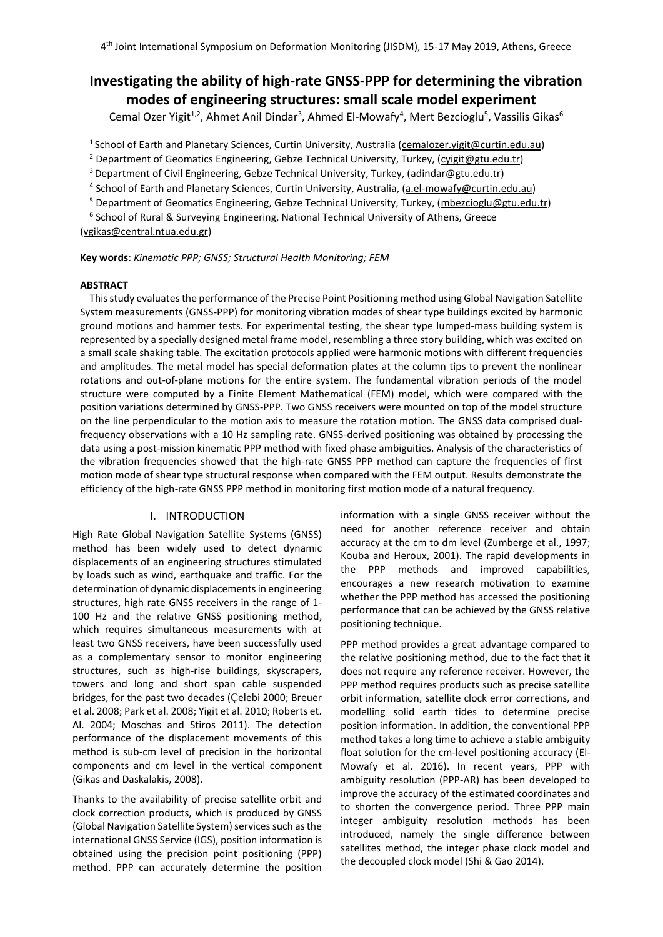# **Investigating the ability of high-rate GNSS-PPP for determining the vibration modes of engineering structures: small scale model experiment**

Cemal Ozer Yigit<sup>1,2</sup>, Ahmet Anil Dindar<sup>3</sup>, Ahmed El-Mowafy<sup>4</sup>, Mert Bezcioglu<sup>5</sup>, Vassilis Gikas<sup>6</sup>

<sup>1</sup> School of Earth and Planetary Sciences, Curtin University, Australia [\(cemalozer.yigit@curtin.edu.au\)](mailto:cemalozer.yigit@curtin.edu.au)

<sup>2</sup> Department of Geomatics Engineering, Gebze Technical University, Turkey, [\(cyigit@gtu.edu.tr\)](mailto:cyigit@gtu.edu.tr)

<sup>3</sup> Department of Civil Engineering, Gebze Technical University, Turkey, [\(adindar@gtu.edu.tr\)](mailto:adindar@gtu.edu.tr)

<sup>4</sup> School of Earth and Planetary Sciences, Curtin University, Australia, (<u>a.el-mowafy@curtin.edu.au</u>)

<sup>5</sup> Department of Geomatics Engineering, Gebze Technical University, Turkey, [\(mbezcioglu@gtu.edu.tr\)](mailto:mbezcioglu@gtu.edu.tr)

6 School of Rural & Surveying Engineering, National Technical University of Athens, Greece [\(vgikas@c](mailto:vgikas@)entral.ntua.edu.gr)

**Key words**: *Kinematic PPP; GNSS; Structural Health Monitoring; FEM*

# **ABSTRACT**

This study evaluates the performance of the Precise Point Positioning method using Global Navigation Satellite System measurements (GNSS-PPP) for monitoring vibration modes of shear type buildings excited by harmonic ground motions and hammer tests. For experimental testing, the shear type lumped-mass building system is represented by a specially designed metal frame model, resembling a three story building, which was excited on a small scale shaking table. The excitation protocols applied were harmonic motions with different frequencies and amplitudes. The metal model has special deformation plates at the column tips to prevent the nonlinear rotations and out-of-plane motions for the entire system. The fundamental vibration periods of the model structure were computed by a Finite Element Mathematical (FEM) model, which were compared with the position variations determined by GNSS-PPP. Two GNSS receivers were mounted on top of the model structure on the line perpendicular to the motion axis to measure the rotation motion. The GNSS data comprised dualfrequency observations with a 10 Hz sampling rate. GNSS-derived positioning was obtained by processing the data using a post-mission kinematic PPP method with fixed phase ambiguities. Analysis of the characteristics of the vibration frequencies showed that the high-rate GNSS PPP method can capture the frequencies of first motion mode of shear type structural response when compared with the FEM output. Results demonstrate the efficiency of the high-rate GNSS PPP method in monitoring first motion mode of a natural frequency.

## I. INTRODUCTION

High Rate Global Navigation Satellite Systems (GNSS) method has been widely used to detect dynamic displacements of an engineering structures stimulated by loads such as wind, earthquake and traffic. For the determination of dynamic displacements in engineering structures, high rate GNSS receivers in the range of 1- 100 Hz and the relative GNSS positioning method, which requires simultaneous measurements with at least two GNSS receivers, have been successfully used as a complementary sensor to monitor engineering structures, such as high-rise buildings, skyscrapers, towers and long and short span cable suspended bridges, for the past two decades (Çelebi 2000; Breuer et al. 2008; Park et al. 2008; Yigit et al. 2010; Roberts et. Al. 2004; Moschas and Stiros 2011). The detection performance of the displacement movements of this method is sub-cm level of precision in the horizontal components and cm level in the vertical component (Gikas and Daskalakis, 2008).

Thanks to the availability of precise satellite orbit and clock correction products, which is produced by GNSS (Global Navigation Satellite System) services such as the international GNSS Service (IGS), position information is obtained using the precision point positioning (PPP) method. PPP can accurately determine the position

information with a single GNSS receiver without the need for another reference receiver and obtain accuracy at the cm to dm level (Zumberge et al., 1997; Kouba and Heroux, 2001). The rapid developments in the PPP methods and improved capabilities, encourages a new research motivation to examine whether the PPP method has accessed the positioning performance that can be achieved by the GNSS relative positioning technique.

PPP method provides a great advantage compared to the relative positioning method, due to the fact that it does not require any reference receiver. However, the PPP method requires products such as precise satellite orbit information, satellite clock error corrections, and modelling solid earth tides to determine precise position information. In addition, the conventional PPP method takes a long time to achieve a stable ambiguity float solution for the cm-level positioning accuracy (El-Mowafy et al. 2016). In recent years, PPP with ambiguity resolution (PPP-AR) has been developed to improve the accuracy of the estimated coordinates and to shorten the convergence period. Three PPP main integer ambiguity resolution methods has been introduced, namely the single difference between satellites method, the integer phase clock model and the decoupled clock model (Shi & Gao 2014).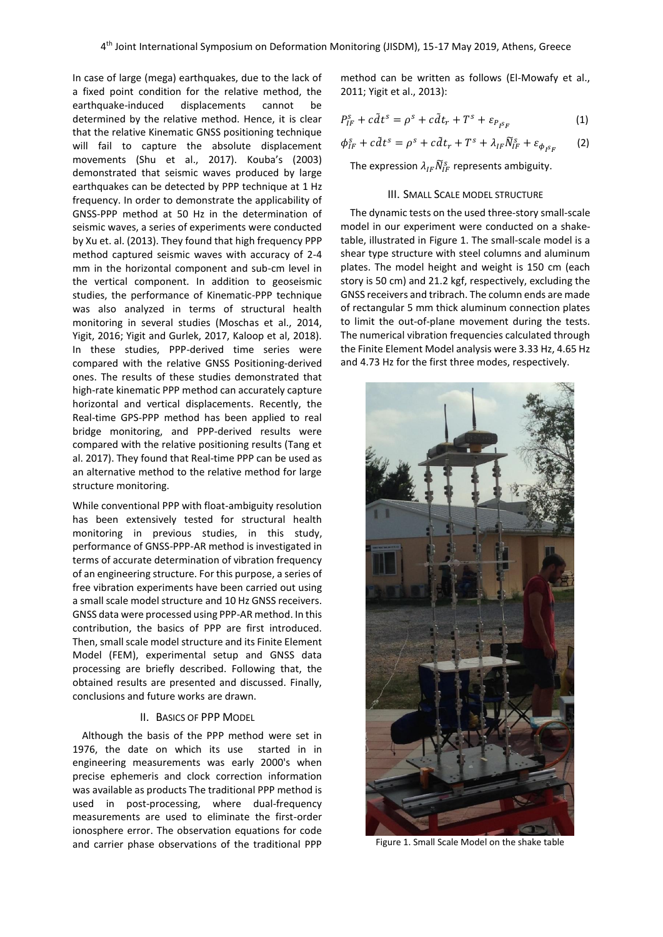In case of large (mega) earthquakes, due to the lack of a fixed point condition for the relative method, the earthquake-induced displacements cannot be determined by the relative method. Hence, it is clear that the relative Kinematic GNSS positioning technique will fail to capture the absolute displacement movements (Shu et al., 2017). Kouba's (2003) demonstrated that seismic waves produced by large earthquakes can be detected by PPP technique at 1 Hz frequency. In order to demonstrate the applicability of GNSS-PPP method at 50 Hz in the determination of seismic waves, a series of experiments were conducted by Xu et. al. (2013). They found that high frequency PPP method captured seismic waves with accuracy of 2-4 mm in the horizontal component and sub-cm level in the vertical component. In addition to geoseismic studies, the performance of Kinematic-PPP technique was also analyzed in terms of structural health monitoring in several studies (Moschas et al., 2014, Yigit, 2016; Yigit and Gurlek, 2017, Kaloop et al, 2018). In these studies, PPP-derived time series were compared with the relative GNSS Positioning-derived ones. The results of these studies demonstrated that high-rate kinematic PPP method can accurately capture horizontal and vertical displacements. Recently, the Real-time GPS-PPP method has been applied to real bridge monitoring, and PPP-derived results were compared with the relative positioning results (Tang et al. 2017). They found that Real-time PPP can be used as an alternative method to the relative method for large structure monitoring.

While conventional PPP with float-ambiguity resolution has been extensively tested for structural health monitoring in previous studies, in this study, performance of GNSS-PPP-AR method is investigated in terms of accurate determination of vibration frequency of an engineering structure. For this purpose, a series of free vibration experiments have been carried out using a small scale model structure and 10 Hz GNSS receivers. GNSS data were processed using PPP-AR method. In this contribution, the basics of PPP are first introduced. Then, small scale model structure and its Finite Element Model (FEM), experimental setup and GNSS data processing are briefly described. Following that, the obtained results are presented and discussed. Finally, conclusions and future works are drawn.

## II. BASICS OF PPP MODEL

Although the basis of the PPP method were set in 1976, the date on which its use started in in engineering measurements was early 2000's when precise ephemeris and clock correction information was available as products The traditional PPP method is used in post-processing, where dual-frequency measurements are used to eliminate the first-order ionosphere error. The observation equations for code and carrier phase observations of the traditional PPP

method can be written as follows (El-Mowafy et al., 2011; Yigit et al., 2013):

$$
P_{IF}^s + c\tilde{d}t^s = \rho^s + c\tilde{d}t_r + T^s + \varepsilon_{P_{I}s_F}
$$
 (1)

$$
\phi_{IF}^s + c\tilde{d}t^s = \rho^s + c\tilde{d}t_r + T^s + \lambda_{IF}\tilde{N}_{IF}^s + \varepsilon_{\phi_{ISF}} \qquad (2)
$$

The expression  $\lambda_{IF} \widetilde{N}_{IF}^s$  represents ambiguity.

## III. SMALL SCALE MODEL STRUCTURE

The dynamic tests on the used three-story small-scale model in our experiment were conducted on a shaketable, illustrated in Figure 1. The small-scale model is a shear type structure with steel columns and aluminum plates. The model height and weight is 150 cm (each story is 50 cm) and 21.2 kgf, respectively, excluding the GNSS receivers and tribrach. The column ends are made of rectangular 5 mm thick aluminum connection plates to limit the out-of-plane movement during the tests. The numerical vibration frequencies calculated through the Finite Element Model analysis were 3.33 Hz, 4.65 Hz and 4.73 Hz for the first three modes, respectively.



Figure 1. Small Scale Model on the shake table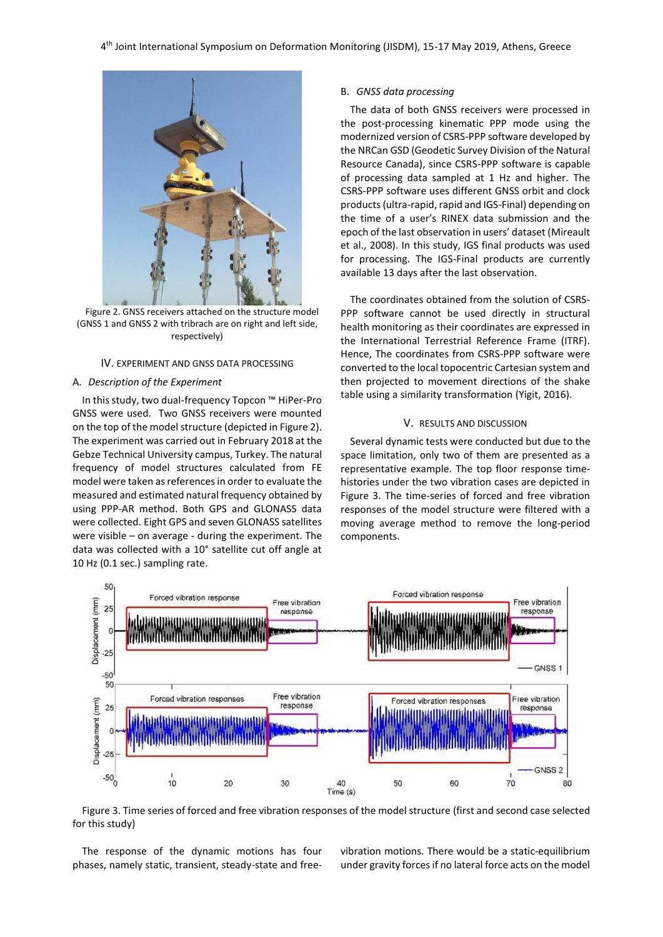

Figure 2. GNSS receivers attached on the structure model (GNSS 1 and GNSS 2 with tribrach are on right and left side, respectively)

## IV. EXPERIMENT AND GNSS DATA PROCESSING

#### A. *Description of the Experiment*

In this study, two dual-frequency Topcon ™ HiPer-Pro GNSS were used. Two GNSS receivers were mounted on the top of the model structure (depicted in Figure 2). The experiment was carried out in February 2018 at the Gebze Technical University campus, Turkey. The natural frequency of model structures calculated from FE model were taken as references in order to evaluate the measured and estimated natural frequency obtained by using PPP-AR method. Both GPS and GLONASS data were collected. Eight GPS and seven GLONASS satellites were visible – on average - during the experiment. The data was collected with a 10° satellite cut off angle at 10 Hz (0.1 sec.) sampling rate.

### B. *GNSS data processing*

The data of both GNSS receivers were processed in the post-processing kinematic PPP mode using the modernized version of CSRS-PPP software developed by the NRCan GSD (Geodetic Survey Division of the Natural Resource Canada), since CSRS-PPP software is capable of processing data sampled at 1 Hz and higher. The CSRS-PPP software uses different GNSS orbit and clock products (ultra-rapid, rapid and IGS-Final) depending on the time of a user's RINEX data submission and the epoch of the last observation in users' dataset (Mireault et al., 2008). In this study, IGS final products was used for processing. The IGS-Final products are currently available 13 days after the last observation.

The coordinates obtained from the solution of CSRS-PPP software cannot be used directly in structural health monitoring as their coordinates are expressed in the International Terrestrial Reference Frame (ITRF). Hence, The coordinates from CSRS-PPP software were converted to the local topocentric Cartesian system and then projected to movement directions of the shake table using a similarity transformation (Yigit, 2016).

# V. RESULTS AND DISCUSSION

Several dynamic tests were conducted but due to the space limitation, only two of them are presented as a representative example. The top floor response timehistories under the two vibration cases are depicted in Figure 3. The time-series of forced and free vibration responses of the model structure were filtered with a moving average method to remove the long-period components.



Figure 3. Time series of forced and free vibration responses of the model structure (first and second case selected for this study)

The response of the dynamic motions has four phases, namely static, transient, steady-state and freevibration motions. There would be a static-equilibrium under gravity forcesif no lateral force acts on the model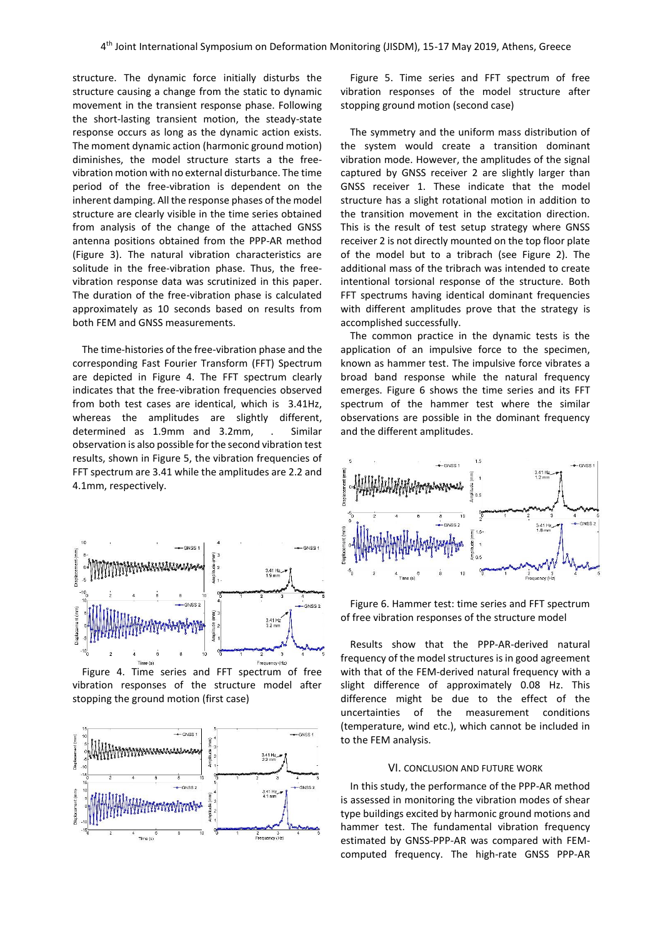structure. The dynamic force initially disturbs the structure causing a change from the static to dynamic movement in the transient response phase. Following the short-lasting transient motion, the steady-state response occurs as long as the dynamic action exists. The moment dynamic action (harmonic ground motion) diminishes, the model structure starts a the freevibration motion with no external disturbance. The time period of the free-vibration is dependent on the inherent damping. All the response phases of the model structure are clearly visible in the time series obtained from analysis of the change of the attached GNSS antenna positions obtained from the PPP-AR method (Figure 3). The natural vibration characteristics are solitude in the free-vibration phase. Thus, the freevibration response data was scrutinized in this paper. The duration of the free-vibration phase is calculated approximately as 10 seconds based on results from both FEM and GNSS measurements.

The time-histories of the free-vibration phase and the corresponding Fast Fourier Transform (FFT) Spectrum are depicted in Figure 4. The FFT spectrum clearly indicates that the free-vibration frequencies observed from both test cases are identical, which is 3.41Hz, whereas the amplitudes are slightly different, determined as 1.9mm and 3.2mm, . Similar observation is also possible for the second vibration test results, shown in Figure 5, the vibration frequencies of FFT spectrum are 3.41 while the amplitudes are 2.2 and 4.1mm, respectively.



Figure 4. Time series and FFT spectrum of free vibration responses of the structure model after stopping the ground motion (first case)



Figure 5. Time series and FFT spectrum of free vibration responses of the model structure after stopping ground motion (second case)

The symmetry and the uniform mass distribution of the system would create a transition dominant vibration mode. However, the amplitudes of the signal captured by GNSS receiver 2 are slightly larger than GNSS receiver 1. These indicate that the model structure has a slight rotational motion in addition to the transition movement in the excitation direction. This is the result of test setup strategy where GNSS receiver 2 is not directly mounted on the top floor plate of the model but to a tribrach (see Figure 2). The additional mass of the tribrach was intended to create intentional torsional response of the structure. Both FFT spectrums having identical dominant frequencies with different amplitudes prove that the strategy is accomplished successfully.

The common practice in the dynamic tests is the application of an impulsive force to the specimen, known as hammer test. The impulsive force vibrates a broad band response while the natural frequency emerges. Figure 6 shows the time series and its FFT spectrum of the hammer test where the similar observations are possible in the dominant frequency and the different amplitudes.



Figure 6. Hammer test: time series and FFT spectrum of free vibration responses of the structure model

Results show that the PPP-AR-derived natural frequency of the model structures is in good agreement with that of the FEM-derived natural frequency with a slight difference of approximately 0.08 Hz. This difference might be due to the effect of the uncertainties of the measurement conditions (temperature, wind etc.), which cannot be included in to the FEM analysis.

#### VI. CONCLUSION AND FUTURE WORK

In this study, the performance of the PPP-AR method is assessed in monitoring the vibration modes of shear type buildings excited by harmonic ground motions and hammer test. The fundamental vibration frequency estimated by GNSS-PPP-AR was compared with FEMcomputed frequency. The high-rate GNSS PPP-AR